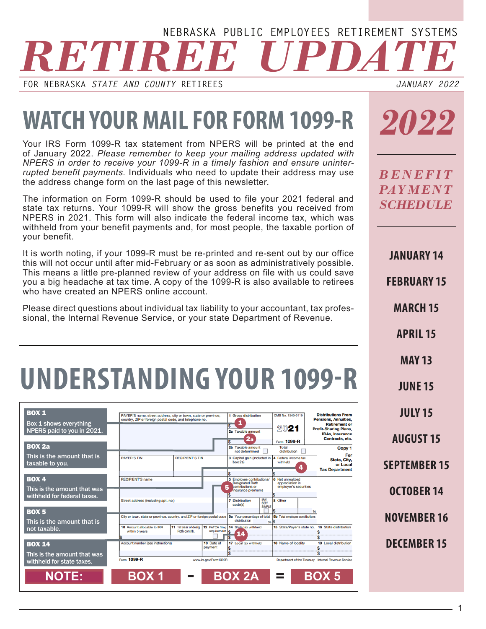#### *RETIREE UPDATE* **NEBRASKA PUBLIC EMPLOYEES RETIREMENT SYSTEMS**

**FOR NEBRASKA** *STATE AND COUNTY* **RETIREES**

*JANUARY 2022*

## **WATCH YOUR MAIL FOR FORM 1099-R**

Your IRS Form 1099-R tax statement from NPERS will be printed at the end of January 2022. *Please remember to keep your mailing address updated with NPERS in order to receive your 1099-R in a timely fashion and ensure uninterrupted benefit payments.* Individuals who need to update their address may use the address change form on the last page of this newsletter.

The information on Form 1099-R should be used to file your 2021 federal and state tax returns. Your 1099-R will show the gross benefits you received from NPERS in 2021. This form will also indicate the federal income tax, which was withheld from your benefit payments and, for most people, the taxable portion of your benefit.

It is worth noting, if your 1099-R must be re-printed and re-sent out by our office this will not occur until after mid-February or as soon as administratively possible. This means a little pre-planned review of your address on file with us could save you a big headache at tax time. A copy of the 1099-R is also available to retirees who have created an NPERS online account.

Please direct questions about individual tax liability to your accountant, tax professional, the Internal Revenue Service, or your state Department of Revenue.

# **UNDERSTANDING YOUR 1099-R**

| <b>BOX 1</b><br>Box 1 shows everything<br>NPERS paid to you in 2021. | PAYER'S name, street address, city or town, state or province,<br>country, ZIP or foreign postal code, and telephone no. |                                        |                       | 1 Gross distribution<br>1<br>2a Taxable amount<br>2a                                                | OMB No. 1545-0119<br>2021<br>Form 1099-R                     | <b>Distributions From</b><br><b>Pensions, Annuities,</b><br><b>Retirement or</b><br><b>Profit-Sharing Plans,</b><br><b>IRAs. Insurance</b><br>Contracts, etc. |
|----------------------------------------------------------------------|--------------------------------------------------------------------------------------------------------------------------|----------------------------------------|-----------------------|-----------------------------------------------------------------------------------------------------|--------------------------------------------------------------|---------------------------------------------------------------------------------------------------------------------------------------------------------------|
| <b>BOX 2a</b>                                                        |                                                                                                                          |                                        |                       | 2b Taxable amount<br>not determined                                                                 | <b>Total</b><br>distribution                                 | Copy 1                                                                                                                                                        |
| This is the amount that is<br>taxable to you.                        | <b>PAYER'S TIN</b>                                                                                                       | <b>RECIPIENT'S TIN</b>                 |                       | 3 Capital gain (included in  4 Federal income tax<br>box 2a)                                        | withheld<br>4                                                | For<br>State, City.<br>or Local<br><b>Tax Department</b>                                                                                                      |
|                                                                      | <b>RECIPIENT'S name</b>                                                                                                  |                                        |                       |                                                                                                     |                                                              |                                                                                                                                                               |
| <b>BOX 4</b>                                                         |                                                                                                                          |                                        |                       | 5 Employee contributions/<br><b>Designated Roth</b><br>contributions or                             | 6 Net unrealized<br>appreciation in<br>employer's securities |                                                                                                                                                               |
| This is the amount that was<br>withheld for federal taxes.           | Street address (including apt. no.)                                                                                      |                                        |                       | 5<br>Insurance premiums<br><b>IRAV</b><br>SEP/<br><b>7</b> Distribution<br>code(s)<br><b>SIMPLE</b> | 8 Other                                                      |                                                                                                                                                               |
| <b>BOX 5</b>                                                         | City or town, state or province, country, and ZIP or foreign postal code  9a Your percentage of total                    |                                        |                       |                                                                                                     | 9b Total employee contributions                              |                                                                                                                                                               |
| This is the amount that is                                           |                                                                                                                          |                                        |                       | distribution                                                                                        | %5                                                           |                                                                                                                                                               |
| not taxable.                                                         | 10 Amount allocable to IRR<br>within 5 years                                                                             | 11 1st year of desig.<br>Roth contrib. | requirement           | 12 FATCA filing 14 State tax withheld<br>\$.<br>14                                                  | 15 State/Paver's state no.                                   | 16 State distribution                                                                                                                                         |
|                                                                      |                                                                                                                          |                                        |                       |                                                                                                     |                                                              |                                                                                                                                                               |
| <b>BOX 14</b>                                                        | Account number (see instructions)                                                                                        |                                        | 13 Date of<br>payment | 17 Local tax withheld                                                                               | 18 Name of locality                                          | 19 Local distribution                                                                                                                                         |
| This is the amount that was                                          |                                                                                                                          |                                        |                       |                                                                                                     |                                                              |                                                                                                                                                               |
| withheld for state taxes.                                            | Form 1099-R                                                                                                              |                                        | www.irs.gov/Form1099R |                                                                                                     |                                                              | Department of the Treasury - Internal Revenue Service                                                                                                         |
| <b>NOTE:</b>                                                         | <b>BOX1</b>                                                                                                              |                                        |                       | <b>BOX 2A</b>                                                                                       | $=$                                                          | <b>BOX 5</b>                                                                                                                                                  |

*2022*

*B E N E F I T PAY M E N T SCHEDULE*

**JANUARY 14**

**FEBRUARY 15**

**MARCH 15**

**APRIL 15**

**MAY 13**

**JUNE 15**

**JULY 15**

**AUGUST 15**

**SEPTEMBER 15**

**OCTOBER 14**

**NOVEMBER 16**

**DECEMBER 15**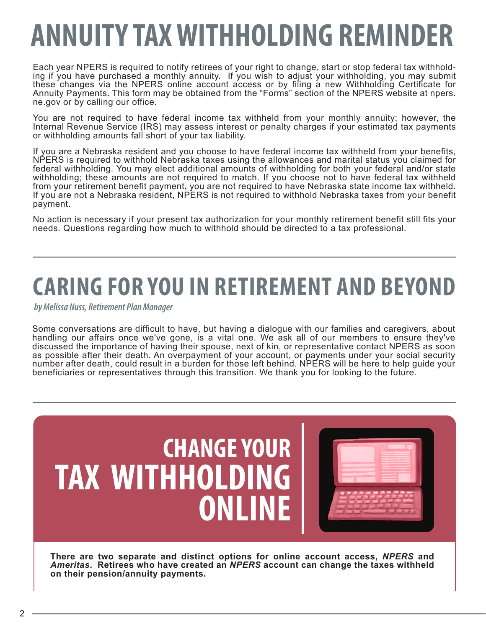# **ANNUITY TAX WITHHOLDING REMINDER**

Each year NPERS is required to notify retirees of your right to change, start or stop federal tax withhold- ing if you have purchased a monthly annuity. If you wish to adjust your withholding, you may submit these changes via the NPERS online account access or by filing a new Withholding Certificate for Annuity Payments. This form may be obtained from the "Forms" section of the NPERS website at npers. ne.gov or by calling our office.

You are not required to have federal income tax withheld from your monthly annuity; however, the Internal Revenue Service (IRS) may assess interest or penalty charges if your estimated tax payments or withholding amounts fall short of your tax liability.

If you are a Nebraska resident and you choose to have federal income tax withheld from your benefits, NPERS is required to withhold Nebraska taxes using the allowances and marital status you claimed for federal withholding. You may elect additional amounts of withholding for both your federal and/or state withholding; these amounts are not required to match. If you choose not to have federal tax withheld from your retirement benefit payment, you are not required to have Nebraska state income tax withheld. If you are not a Nebraska resident, NPERS is not required to withhold Nebraska taxes from your benefit payment.

No action is necessary if your present tax authorization for your monthly retirement benefit still fits your needs. Questions regarding how much to withhold should be directed to a tax professional.

## **CARING FOR YOU IN RETIREMENT AND BEYOND**

*by Melissa Nuss, Retirement Plan Manager*

Some conversations are difficult to have, but having a dialogue with our families and caregivers, about handling our affairs once we've gone, is a vital one. We ask all of our members to ensure they've discussed the importance of having their spouse, next of kin, or representative contact NPERS as soon as possible after their death. An overpayment of your account, or payments under your social security number after death, could result in a burden for those left behind. NPERS will be here to help guide your beneficiaries or representatives through this transition. We thank you for looking to the future.



**There are two separate and distinct options for online account access,** *NPERS* **and**  *Ameritas***. Retirees who have created an** *NPERS* **account can change the taxes withheld on their pension/annuity payments.**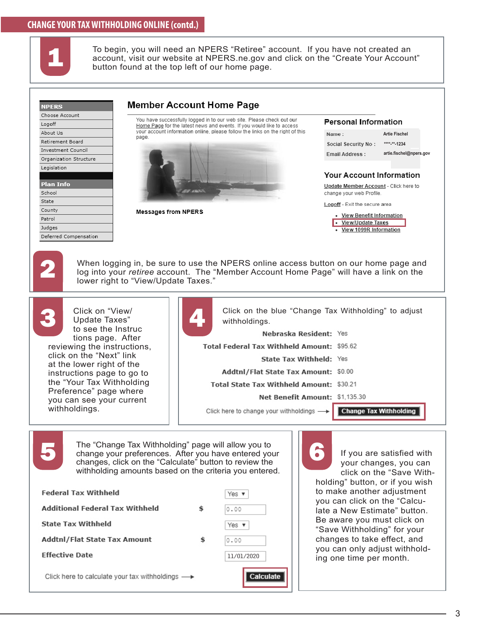#### **CHANGE YOUR TAX WITHHOLDING ONLINE (contd.)**



To begin, you will need an NPERS "Retiree" account. If you have not created an account, visit our website at NPERS.ne.gov and click on the "Create Your Account" button found at the top left of our home page.

| Logoff                                                                                                                                                                                    | You have successfully logged in to our web site. Please check out our                                                                                                                                               | <b>Personal Information</b>                                                                                                                                                                                                                                              |                                                                             |
|-------------------------------------------------------------------------------------------------------------------------------------------------------------------------------------------|---------------------------------------------------------------------------------------------------------------------------------------------------------------------------------------------------------------------|--------------------------------------------------------------------------------------------------------------------------------------------------------------------------------------------------------------------------------------------------------------------------|-----------------------------------------------------------------------------|
| About Us<br>Retirement Board<br>Investment Council<br>Organization Structure<br>Legislation<br><b>Plan Info</b><br>School<br>State<br>County<br>Patrol<br>Judges<br>Deferred Compensation | Home Page for the latest news and events. If you would like to access<br>your account information online, please follow the links on the right of this<br>page.<br><b>CONTRACTOR</b><br><b>Messages from NPERS</b>  | Name:<br>Social Security No:<br>Email Address:<br><b>Your Account Information</b><br>Update Member Account - Click here to<br>change your web Profile.<br>Logoff - Exit the secure area<br>• View Benefit Information<br>• View/Update Taxes<br>• View 1099R Information | <b>Artie Fischel</b><br>**** <sub>-**-1234</sub><br>artie.fischel@npers.gov |
|                                                                                                                                                                                           | When logging in, be sure to use the NPERS online access button on our home page and<br>log into your retiree account. The "Member Account Home Page" will have a link on the<br>lower right to "View/Update Taxes." |                                                                                                                                                                                                                                                                          |                                                                             |

Update Taxes" to see the Instruc tions page. After reviewing the instructions, click on the "Next" link at the lower right of the instructions page to go to the "Your Tax Withholding Preference" page where you can see your current withholdings.



| ļ<br>Click on the blue "Change Tax Withholding" to adjust<br>withholdings. |  |  |  |  |
|----------------------------------------------------------------------------|--|--|--|--|
| Nebraska Resident: Yes                                                     |  |  |  |  |
| Total Federal Tax Withheld Amount: \$95.62                                 |  |  |  |  |
| <b>State Tax Withheld: Yes</b>                                             |  |  |  |  |
| Addtnl/Flat State Tax Amount: \$0.00                                       |  |  |  |  |
| <b>Total State Tax Withheld Amount: \$30.21</b>                            |  |  |  |  |
| Net Benefit Amount: \$1,135.30                                             |  |  |  |  |
| Click here to change your withholdings -> Change Tax Withholding           |  |  |  |  |

The "Change Tax Withholding" page will allow you to<br>change your preferences. After you have entered your<br>changes, click on the "Calculate" button to review the The "Change Tax Withholding" page will allow you to change your preferences. After you have entered your changes, click on the "Calculate" button to review the withholding amounts based on the criteria you entered.

| <b>Federal Tax Withheld</b>                                     |  | Yes $\mathbf v$ |  |
|-----------------------------------------------------------------|--|-----------------|--|
| Additional Federal Tax Withheld                                 |  | 0.00            |  |
| <b>State Tax Withheld</b>                                       |  | Yes $\mathbf v$ |  |
| <b>Addtnl/Flat State Tax Amount</b>                             |  | 0.00            |  |
| <b>Effective Date</b>                                           |  | 11/01/2020      |  |
| Click here to calculate your tax withholdings $\longrightarrow$ |  | Calculate       |  |

If you are satisfied with your changes, you can click on the "Save Withholding" button, or if you wish to make another adjustment you can click on the "Calculate a New Estimate" button. Be aware you must click on "Save Withholding" for your changes to take effect, and you can only adjust withholding one time per month.